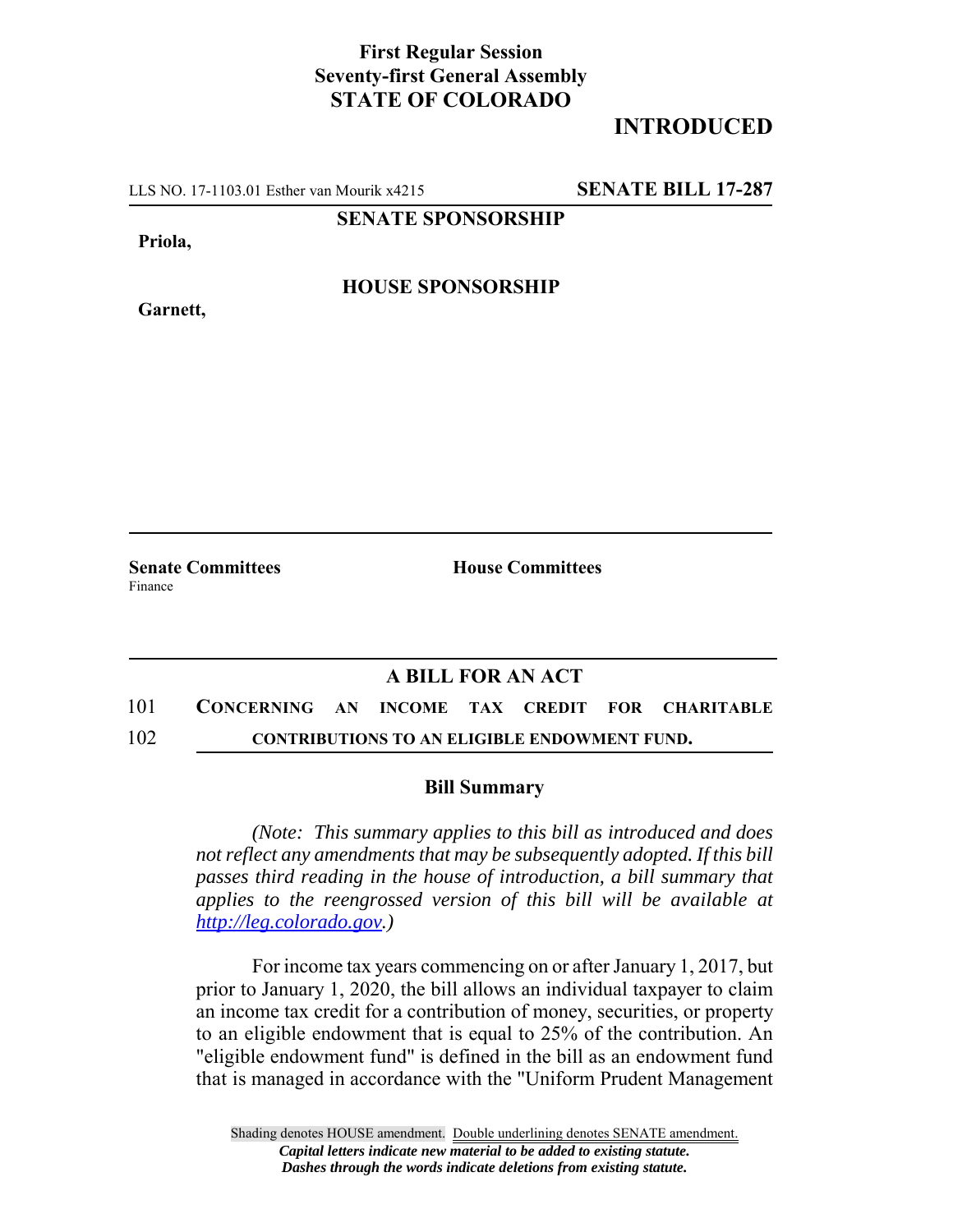## **First Regular Session Seventy-first General Assembly STATE OF COLORADO**

## **INTRODUCED**

LLS NO. 17-1103.01 Esther van Mourik x4215 **SENATE BILL 17-287**

**SENATE SPONSORSHIP**

**Priola,**

**Garnett,**

**HOUSE SPONSORSHIP**

Finance

**Senate Committees House Committees** 

## **A BILL FOR AN ACT**

101 **CONCERNING AN INCOME TAX CREDIT FOR CHARITABLE** 102 **CONTRIBUTIONS TO AN ELIGIBLE ENDOWMENT FUND.**

## **Bill Summary**

*(Note: This summary applies to this bill as introduced and does not reflect any amendments that may be subsequently adopted. If this bill passes third reading in the house of introduction, a bill summary that applies to the reengrossed version of this bill will be available at http://leg.colorado.gov.)*

For income tax years commencing on or after January 1, 2017, but prior to January 1, 2020, the bill allows an individual taxpayer to claim an income tax credit for a contribution of money, securities, or property to an eligible endowment that is equal to 25% of the contribution. An "eligible endowment fund" is defined in the bill as an endowment fund that is managed in accordance with the "Uniform Prudent Management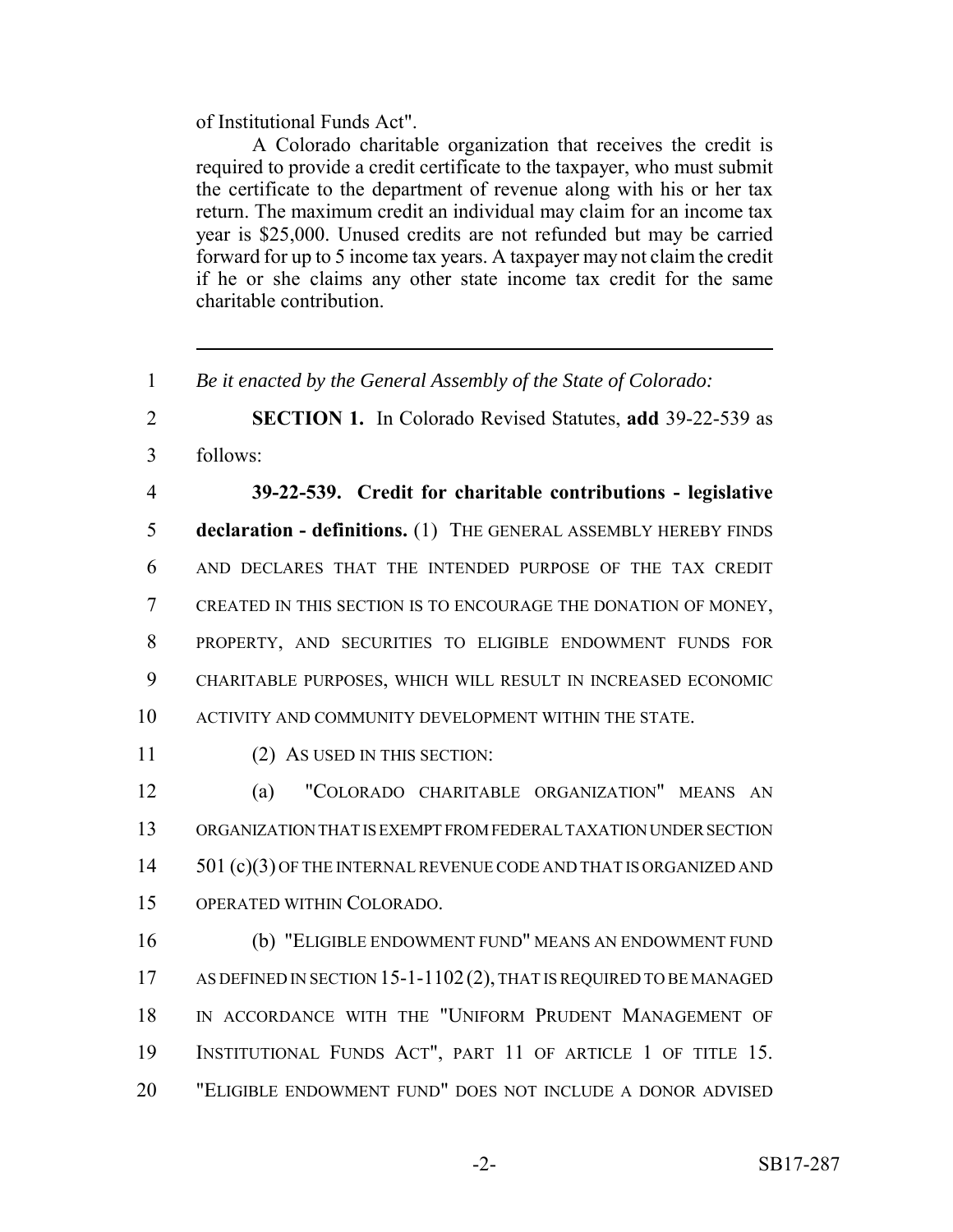of Institutional Funds Act".

A Colorado charitable organization that receives the credit is required to provide a credit certificate to the taxpayer, who must submit the certificate to the department of revenue along with his or her tax return. The maximum credit an individual may claim for an income tax year is \$25,000. Unused credits are not refunded but may be carried forward for up to 5 income tax years. A taxpayer may not claim the credit if he or she claims any other state income tax credit for the same charitable contribution.

1 *Be it enacted by the General Assembly of the State of Colorado:*

2 **SECTION 1.** In Colorado Revised Statutes, **add** 39-22-539 as 3 follows:

 **39-22-539. Credit for charitable contributions - legislative declaration - definitions.** (1) THE GENERAL ASSEMBLY HEREBY FINDS AND DECLARES THAT THE INTENDED PURPOSE OF THE TAX CREDIT CREATED IN THIS SECTION IS TO ENCOURAGE THE DONATION OF MONEY, PROPERTY, AND SECURITIES TO ELIGIBLE ENDOWMENT FUNDS FOR CHARITABLE PURPOSES, WHICH WILL RESULT IN INCREASED ECONOMIC ACTIVITY AND COMMUNITY DEVELOPMENT WITHIN THE STATE.

11 (2) AS USED IN THIS SECTION:

 (a) "COLORADO CHARITABLE ORGANIZATION" MEANS AN ORGANIZATION THAT IS EXEMPT FROM FEDERAL TAXATION UNDER SECTION 14 501 (c)(3) OF THE INTERNAL REVENUE CODE AND THAT IS ORGANIZED AND OPERATED WITHIN COLORADO.

 (b) "ELIGIBLE ENDOWMENT FUND" MEANS AN ENDOWMENT FUND 17 AS DEFINED IN SECTION 15-1-1102 (2), THAT IS REQUIRED TO BE MANAGED IN ACCORDANCE WITH THE "UNIFORM PRUDENT MANAGEMENT OF INSTITUTIONAL FUNDS ACT", PART 11 OF ARTICLE 1 OF TITLE 15. "ELIGIBLE ENDOWMENT FUND" DOES NOT INCLUDE A DONOR ADVISED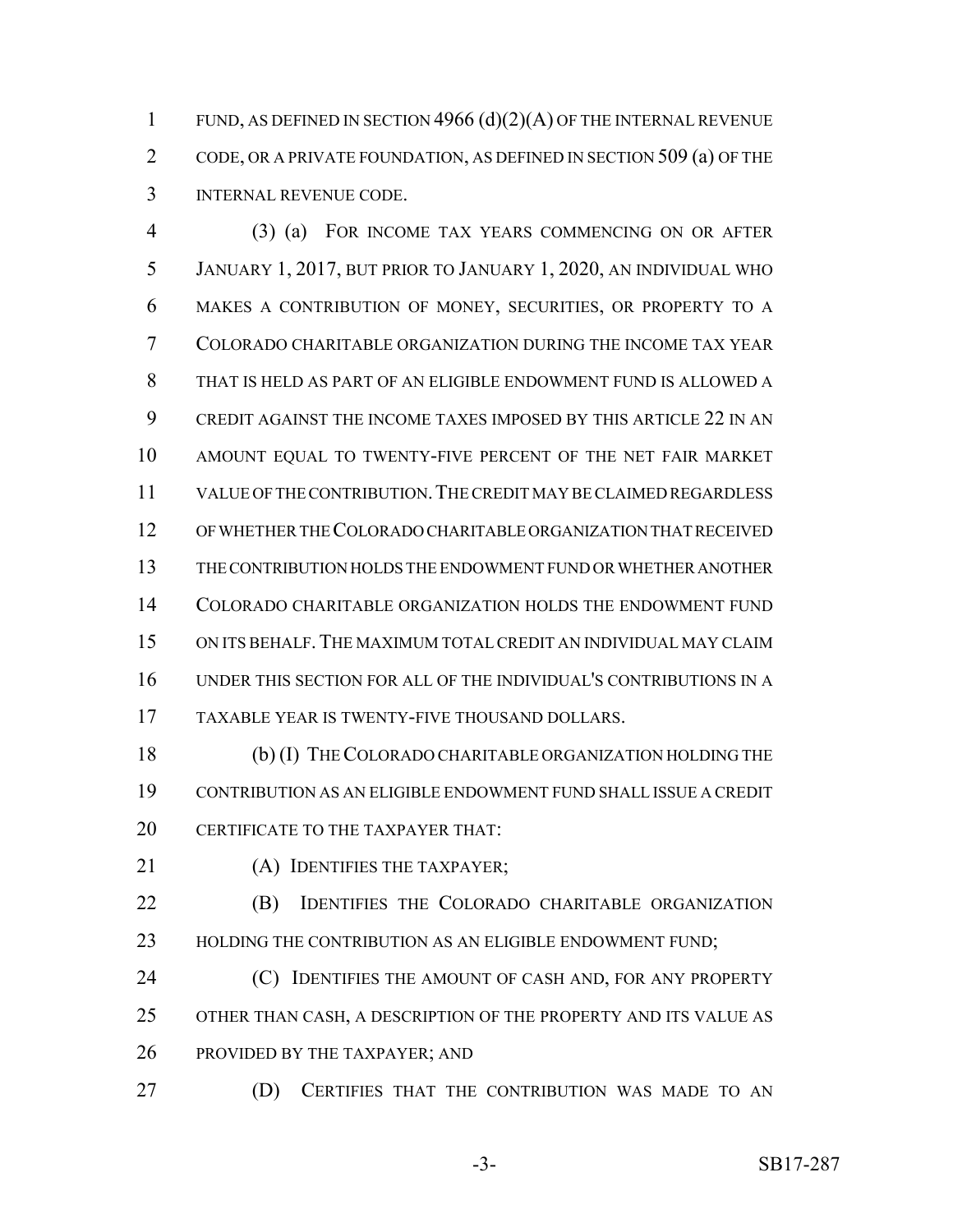FUND, AS DEFINED IN SECTION 4966 (d)(2)(A) OF THE INTERNAL REVENUE CODE, OR A PRIVATE FOUNDATION, AS DEFINED IN SECTION 509 (a) OF THE INTERNAL REVENUE CODE.

 (3) (a) FOR INCOME TAX YEARS COMMENCING ON OR AFTER JANUARY 1, 2017, BUT PRIOR TO JANUARY 1, 2020, AN INDIVIDUAL WHO MAKES A CONTRIBUTION OF MONEY, SECURITIES, OR PROPERTY TO A COLORADO CHARITABLE ORGANIZATION DURING THE INCOME TAX YEAR THAT IS HELD AS PART OF AN ELIGIBLE ENDOWMENT FUND IS ALLOWED A CREDIT AGAINST THE INCOME TAXES IMPOSED BY THIS ARTICLE 22 IN AN AMOUNT EQUAL TO TWENTY-FIVE PERCENT OF THE NET FAIR MARKET VALUE OF THE CONTRIBUTION.THE CREDIT MAY BE CLAIMED REGARDLESS OF WHETHER THE COLORADO CHARITABLE ORGANIZATION THAT RECEIVED THE CONTRIBUTION HOLDS THE ENDOWMENT FUND OR WHETHER ANOTHER COLORADO CHARITABLE ORGANIZATION HOLDS THE ENDOWMENT FUND ON ITS BEHALF.THE MAXIMUM TOTAL CREDIT AN INDIVIDUAL MAY CLAIM UNDER THIS SECTION FOR ALL OF THE INDIVIDUAL'S CONTRIBUTIONS IN A TAXABLE YEAR IS TWENTY-FIVE THOUSAND DOLLARS.

 (b) (I) THE COLORADO CHARITABLE ORGANIZATION HOLDING THE CONTRIBUTION AS AN ELIGIBLE ENDOWMENT FUND SHALL ISSUE A CREDIT 20 CERTIFICATE TO THE TAXPAYER THAT:

21 (A) IDENTIFIES THE TAXPAYER:

 (B) IDENTIFIES THE COLORADO CHARITABLE ORGANIZATION 23 HOLDING THE CONTRIBUTION AS AN ELIGIBLE ENDOWMENT FUND;

**(C)** IDENTIFIES THE AMOUNT OF CASH AND, FOR ANY PROPERTY OTHER THAN CASH, A DESCRIPTION OF THE PROPERTY AND ITS VALUE AS PROVIDED BY THE TAXPAYER; AND

(D) CERTIFIES THAT THE CONTRIBUTION WAS MADE TO AN